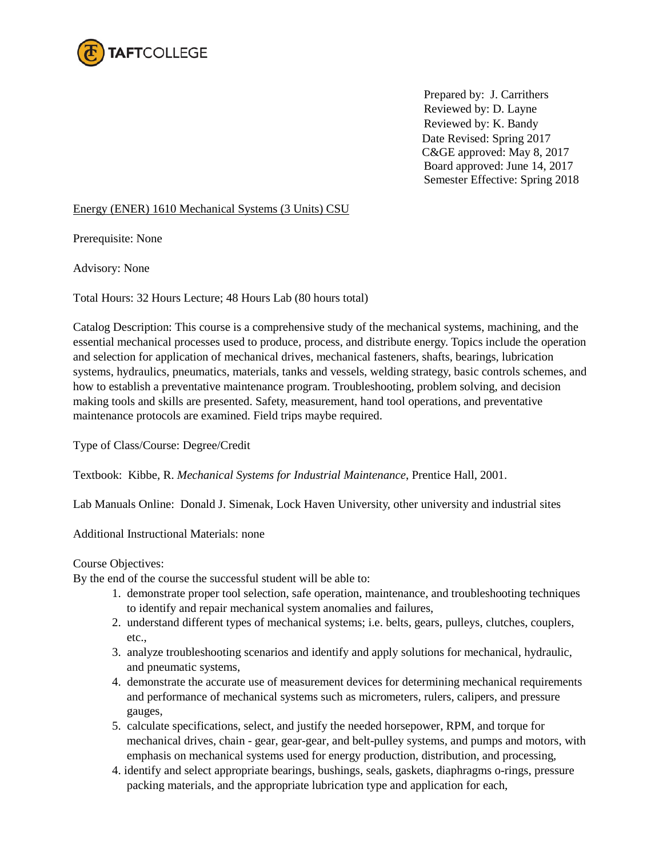

 Prepared by: J. Carrithers Reviewed by: D. Layne Reviewed by: K. Bandy Date Revised: Spring 2017 C&GE approved: May 8, 2017 Board approved: June 14, 2017 Semester Effective: Spring 2018

#### Energy (ENER) 1610 Mechanical Systems (3 Units) CSU

Prerequisite: None

Advisory: None

Total Hours: 32 Hours Lecture; 48 Hours Lab (80 hours total)

Catalog Description: This course is a comprehensive study of the mechanical systems, machining, and the essential mechanical processes used to produce, process, and distribute energy. Topics include the operation and selection for application of mechanical drives, mechanical fasteners, shafts, bearings, lubrication systems, hydraulics, pneumatics, materials, tanks and vessels, welding strategy, basic controls schemes, and how to establish a preventative maintenance program. Troubleshooting, problem solving, and decision making tools and skills are presented. Safety, measurement, hand tool operations, and preventative maintenance protocols are examined. Field trips maybe required.

Type of Class/Course: Degree/Credit

Textbook: Kibbe, R. *Mechanical Systems for Industrial Maintenance*, Prentice Hall, 2001.

Lab Manuals Online: Donald J. Simenak, Lock Haven University, other university and industrial sites

Additional Instructional Materials: none

Course Objectives:

By the end of the course the successful student will be able to:

- 1. demonstrate proper tool selection, safe operation, maintenance, and troubleshooting techniques to identify and repair mechanical system anomalies and failures,
- 2. understand different types of mechanical systems; i.e. belts, gears, pulleys, clutches, couplers, etc.,
- 3. analyze troubleshooting scenarios and identify and apply solutions for mechanical, hydraulic, and pneumatic systems,
- 4. demonstrate the accurate use of measurement devices for determining mechanical requirements and performance of mechanical systems such as micrometers, rulers, calipers, and pressure gauges,
- 5. calculate specifications, select, and justify the needed horsepower, RPM, and torque for mechanical drives, chain - gear, gear-gear, and belt-pulley systems, and pumps and motors, with emphasis on mechanical systems used for energy production, distribution, and processing,
- 4. identify and select appropriate bearings, bushings, seals, gaskets, diaphragms o-rings, pressure packing materials, and the appropriate lubrication type and application for each,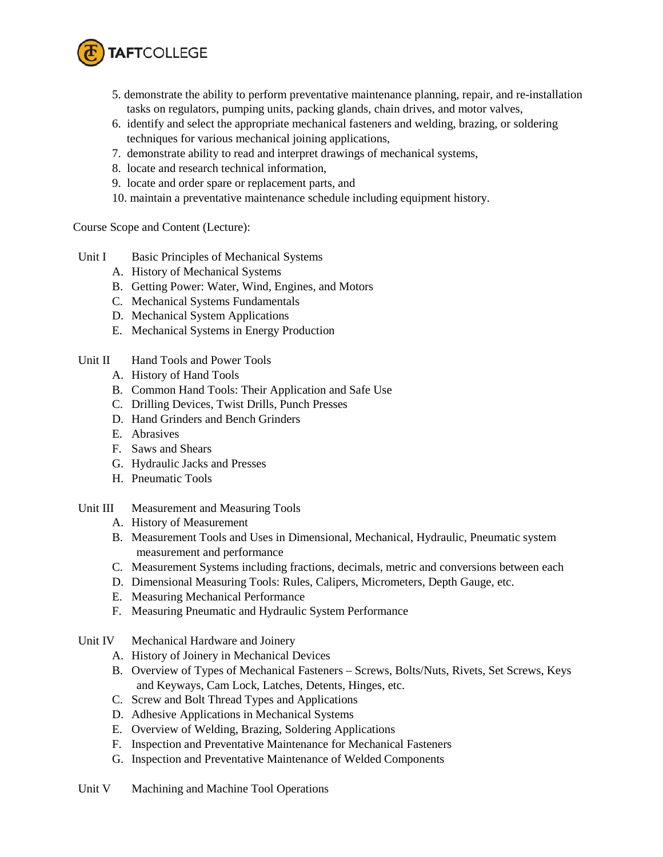

- 5. demonstrate the ability to perform preventative maintenance planning, repair, and re-installation tasks on regulators, pumping units, packing glands, chain drives, and motor valves,
- 6. identify and select the appropriate mechanical fasteners and welding, brazing, or soldering techniques for various mechanical joining applications,
- 7. demonstrate ability to read and interpret drawings of mechanical systems,
- 8. locate and research technical information,
- 9. locate and order spare or replacement parts, and
- 10. maintain a preventative maintenance schedule including equipment history.

Course Scope and Content (Lecture):

- Unit I Basic Principles of Mechanical Systems
	- A. History of Mechanical Systems
	- B. Getting Power: Water, Wind, Engines, and Motors
	- C. Mechanical Systems Fundamentals
	- D. Mechanical System Applications
	- E. Mechanical Systems in Energy Production
- Unit II Hand Tools and Power Tools
	- A. History of Hand Tools
	- B. Common Hand Tools: Their Application and Safe Use
	- C. Drilling Devices, Twist Drills, Punch Presses
	- D. Hand Grinders and Bench Grinders
	- E. Abrasives
	- F. Saws and Shears
	- G. Hydraulic Jacks and Presses
	- H. Pneumatic Tools
- Unit III Measurement and Measuring Tools
	- A. History of Measurement
	- B. Measurement Tools and Uses in Dimensional, Mechanical, Hydraulic, Pneumatic system measurement and performance
	- C. Measurement Systems including fractions, decimals, metric and conversions between each
	- D. Dimensional Measuring Tools: Rules, Calipers, Micrometers, Depth Gauge, etc.
	- E. Measuring Mechanical Performance
	- F. Measuring Pneumatic and Hydraulic System Performance
- Unit IV Mechanical Hardware and Joinery
	- A. History of Joinery in Mechanical Devices
	- B. Overview of Types of Mechanical Fasteners Screws, Bolts/Nuts, Rivets, Set Screws, Keys and Keyways, Cam Lock, Latches, Detents, Hinges, etc.
	- C. Screw and Bolt Thread Types and Applications
	- D. Adhesive Applications in Mechanical Systems
	- E. Overview of Welding, Brazing, Soldering Applications
	- F. Inspection and Preventative Maintenance for Mechanical Fasteners
	- G. Inspection and Preventative Maintenance of Welded Components
- Unit V Machining and Machine Tool Operations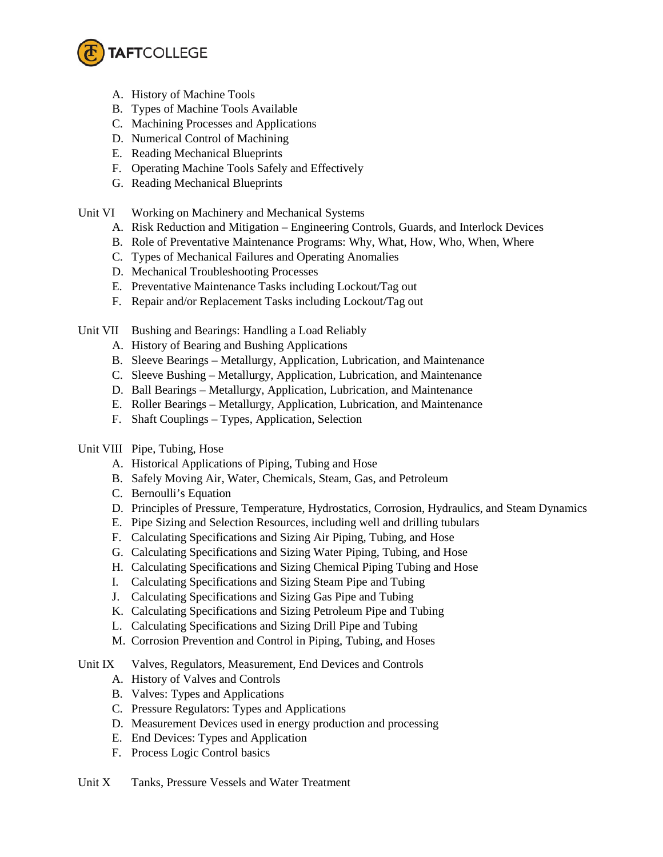

- A. History of Machine Tools
- B. Types of Machine Tools Available
- C. Machining Processes and Applications
- D. Numerical Control of Machining
- E. Reading Mechanical Blueprints
- F. Operating Machine Tools Safely and Effectively
- G. Reading Mechanical Blueprints
- Unit VI Working on Machinery and Mechanical Systems
	- A. Risk Reduction and Mitigation Engineering Controls, Guards, and Interlock Devices
	- B. Role of Preventative Maintenance Programs: Why, What, How, Who, When, Where
	- C. Types of Mechanical Failures and Operating Anomalies
	- D. Mechanical Troubleshooting Processes
	- E. Preventative Maintenance Tasks including Lockout/Tag out
	- F. Repair and/or Replacement Tasks including Lockout/Tag out

Unit VII Bushing and Bearings: Handling a Load Reliably

- A. History of Bearing and Bushing Applications
- B. Sleeve Bearings Metallurgy, Application, Lubrication, and Maintenance
- C. Sleeve Bushing Metallurgy, Application, Lubrication, and Maintenance
- D. Ball Bearings Metallurgy, Application, Lubrication, and Maintenance
- E. Roller Bearings Metallurgy, Application, Lubrication, and Maintenance
- F. Shaft Couplings Types, Application, Selection

# Unit VIII Pipe, Tubing, Hose

- A. Historical Applications of Piping, Tubing and Hose
- B. Safely Moving Air, Water, Chemicals, Steam, Gas, and Petroleum
- C. Bernoulli's Equation
- D. Principles of Pressure, Temperature, Hydrostatics, Corrosion, Hydraulics, and Steam Dynamics
- E. Pipe Sizing and Selection Resources, including well and drilling tubulars
- F. Calculating Specifications and Sizing Air Piping, Tubing, and Hose
- G. Calculating Specifications and Sizing Water Piping, Tubing, and Hose
- H. Calculating Specifications and Sizing Chemical Piping Tubing and Hose
- I. Calculating Specifications and Sizing Steam Pipe and Tubing
- J. Calculating Specifications and Sizing Gas Pipe and Tubing
- K. Calculating Specifications and Sizing Petroleum Pipe and Tubing
- L. Calculating Specifications and Sizing Drill Pipe and Tubing
- M. Corrosion Prevention and Control in Piping, Tubing, and Hoses
- Unit IX Valves, Regulators, Measurement, End Devices and Controls
	- A. History of Valves and Controls
	- B. Valves: Types and Applications
	- C. Pressure Regulators: Types and Applications
	- D. Measurement Devices used in energy production and processing
	- E. End Devices: Types and Application
	- F. Process Logic Control basics

### Unit X Tanks, Pressure Vessels and Water Treatment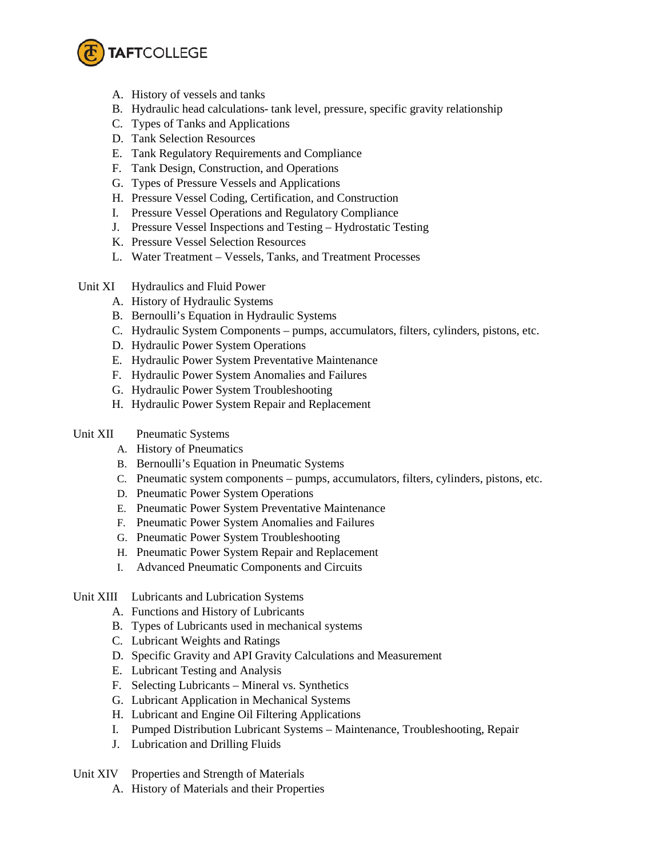

- A. History of vessels and tanks
- B. Hydraulic head calculations- tank level, pressure, specific gravity relationship
- C. Types of Tanks and Applications
- D. Tank Selection Resources
- E. Tank Regulatory Requirements and Compliance
- F. Tank Design, Construction, and Operations
- G. Types of Pressure Vessels and Applications
- H. Pressure Vessel Coding, Certification, and Construction
- I. Pressure Vessel Operations and Regulatory Compliance
- J. Pressure Vessel Inspections and Testing Hydrostatic Testing
- K. Pressure Vessel Selection Resources
- L. Water Treatment Vessels, Tanks, and Treatment Processes
- Unit XI Hydraulics and Fluid Power
	- A. History of Hydraulic Systems
	- B. Bernoulli's Equation in Hydraulic Systems
	- C. Hydraulic System Components pumps, accumulators, filters, cylinders, pistons, etc.
	- D. Hydraulic Power System Operations
	- E. Hydraulic Power System Preventative Maintenance
	- F. Hydraulic Power System Anomalies and Failures
	- G. Hydraulic Power System Troubleshooting
	- H. Hydraulic Power System Repair and Replacement

## Unit XII Pneumatic Systems

- A. History of Pneumatics
- B. Bernoulli's Equation in Pneumatic Systems
- C. Pneumatic system components pumps, accumulators, filters, cylinders, pistons, etc.
- D. Pneumatic Power System Operations
- E. Pneumatic Power System Preventative Maintenance
- F. Pneumatic Power System Anomalies and Failures
- G. Pneumatic Power System Troubleshooting
- H. Pneumatic Power System Repair and Replacement
- I. Advanced Pneumatic Components and Circuits

### Unit XIII Lubricants and Lubrication Systems

- A. Functions and History of Lubricants
- B. Types of Lubricants used in mechanical systems
- C. Lubricant Weights and Ratings
- D. Specific Gravity and API Gravity Calculations and Measurement
- E. Lubricant Testing and Analysis
- F. Selecting Lubricants Mineral vs. Synthetics
- G. Lubricant Application in Mechanical Systems
- H. Lubricant and Engine Oil Filtering Applications
- I. Pumped Distribution Lubricant Systems Maintenance, Troubleshooting, Repair
- J. Lubrication and Drilling Fluids
- Unit XIV Properties and Strength of Materials
	- A. History of Materials and their Properties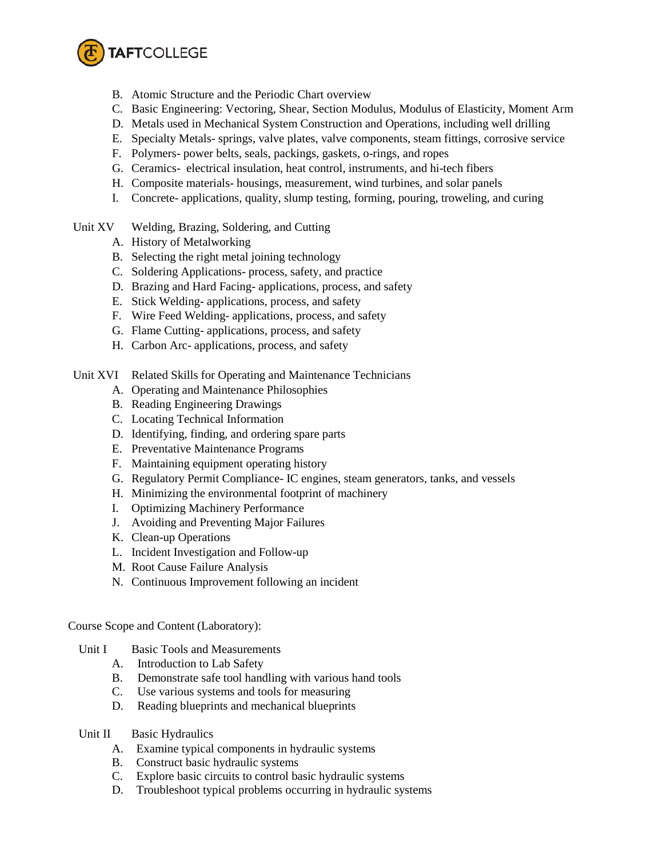

- B. Atomic Structure and the Periodic Chart overview
- C. Basic Engineering: Vectoring, Shear, Section Modulus, Modulus of Elasticity, Moment Arm
- D. Metals used in Mechanical System Construction and Operations, including well drilling
- E. Specialty Metals- springs, valve plates, valve components, steam fittings, corrosive service
- F. Polymers- power belts, seals, packings, gaskets, o-rings, and ropes
- G. Ceramics- electrical insulation, heat control, instruments, and hi-tech fibers
- H. Composite materials- housings, measurement, wind turbines, and solar panels
- I. Concrete- applications, quality, slump testing, forming, pouring, troweling, and curing
- Unit XV Welding, Brazing, Soldering, and Cutting
	- A. History of Metalworking
	- B. Selecting the right metal joining technology
	- C. Soldering Applications- process, safety, and practice
	- D. Brazing and Hard Facing- applications, process, and safety
	- E. Stick Welding- applications, process, and safety
	- F. Wire Feed Welding- applications, process, and safety
	- G. Flame Cutting- applications, process, and safety
	- H. Carbon Arc- applications, process, and safety
- Unit XVI Related Skills for Operating and Maintenance Technicians
	- A. Operating and Maintenance Philosophies
	- B. Reading Engineering Drawings
	- C. Locating Technical Information
	- D. Identifying, finding, and ordering spare parts
	- E. Preventative Maintenance Programs
	- F. Maintaining equipment operating history
	- G. Regulatory Permit Compliance- IC engines, steam generators, tanks, and vessels
	- H. Minimizing the environmental footprint of machinery
	- I. Optimizing Machinery Performance
	- J. Avoiding and Preventing Major Failures
	- K. Clean-up Operations
	- L. Incident Investigation and Follow-up
	- M. Root Cause Failure Analysis
	- N. Continuous Improvement following an incident

Course Scope and Content (Laboratory):

- Unit I Basic Tools and Measurements
	- A. Introduction to Lab Safety
	- B. Demonstrate safe tool handling with various hand tools
	- C. Use various systems and tools for measuring
	- D. Reading blueprints and mechanical blueprints
- Unit II Basic Hydraulics
	- A. Examine typical components in hydraulic systems
	- B. Construct basic hydraulic systems
	- C. Explore basic circuits to control basic hydraulic systems
	- D. Troubleshoot typical problems occurring in hydraulic systems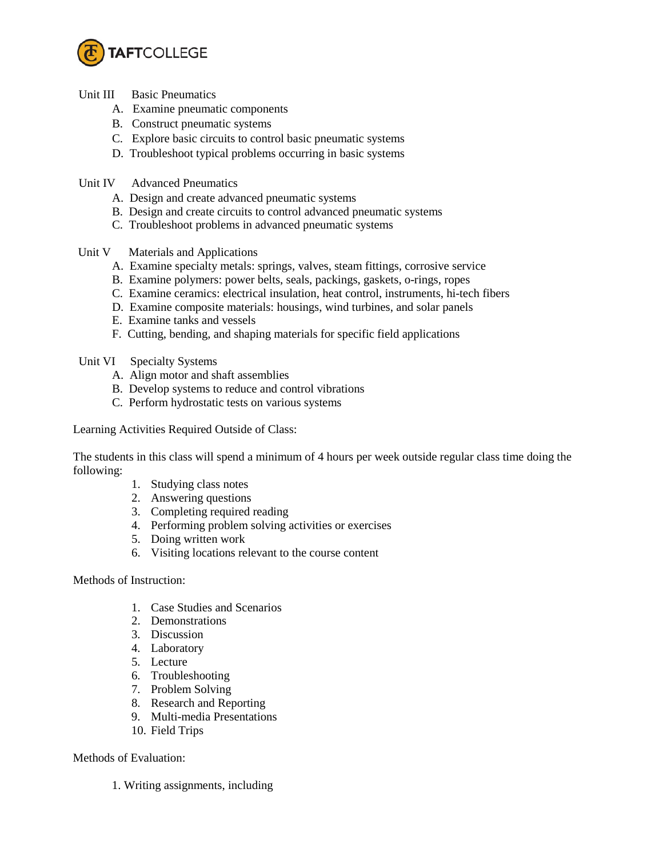

- Unit III Basic Pneumatics
	- A. Examine pneumatic components
	- B. Construct pneumatic systems
	- C. Explore basic circuits to control basic pneumatic systems
	- D. Troubleshoot typical problems occurring in basic systems
- Unit IV Advanced Pneumatics
	- A. Design and create advanced pneumatic systems
	- B. Design and create circuits to control advanced pneumatic systems
	- C. Troubleshoot problems in advanced pneumatic systems
- Unit V Materials and Applications
	- A. Examine specialty metals: springs, valves, steam fittings, corrosive service
	- B. Examine polymers: power belts, seals, packings, gaskets, o-rings, ropes
	- C. Examine ceramics: electrical insulation, heat control, instruments, hi-tech fibers
	- D. Examine composite materials: housings, wind turbines, and solar panels
	- E. Examine tanks and vessels
	- F. Cutting, bending, and shaping materials for specific field applications
- Unit VI Specialty Systems
	- A. Align motor and shaft assemblies
	- B. Develop systems to reduce and control vibrations
	- C. Perform hydrostatic tests on various systems

Learning Activities Required Outside of Class:

The students in this class will spend a minimum of 4 hours per week outside regular class time doing the following:

- 1. Studying class notes
- 2. Answering questions
- 3. Completing required reading
- 4. Performing problem solving activities or exercises
- 5. Doing written work
- 6. Visiting locations relevant to the course content

Methods of Instruction:

- 1. Case Studies and Scenarios
- 2. Demonstrations
- 3. Discussion
- 4. Laboratory
- 5. Lecture
- 6. Troubleshooting
- 7. Problem Solving
- 8. Research and Reporting
- 9. Multi-media Presentations
- 10. Field Trips

### Methods of Evaluation:

1. Writing assignments, including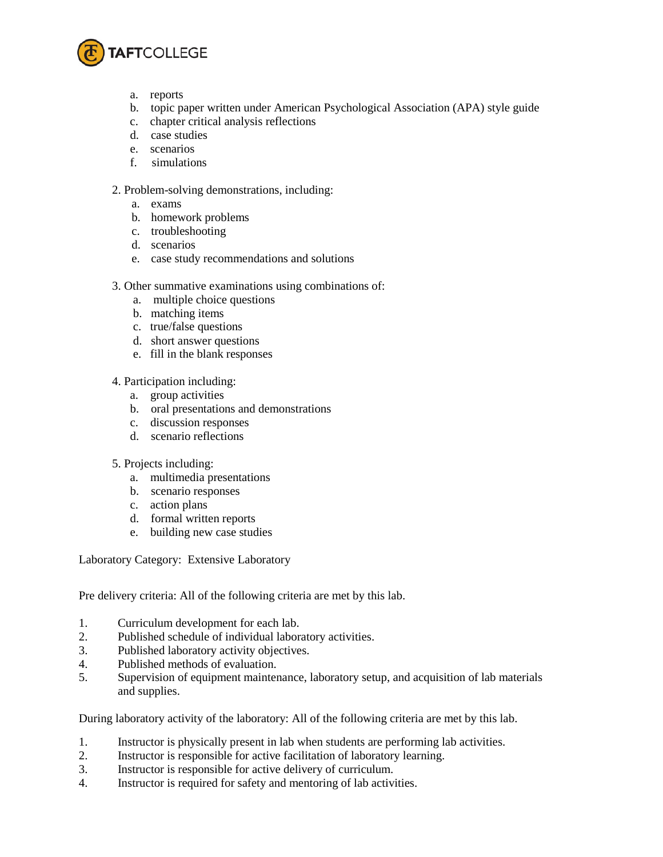

- a. reports
- b. topic paper written under American Psychological Association (APA) style guide
- c. chapter critical analysis reflections
- d. case studies
- e. scenarios
- f. simulations

# 2. Problem-solving demonstrations, including:

- a. exams
- b. homework problems
- c. troubleshooting
- d. scenarios
- e. case study recommendations and solutions
- 3. Other summative examinations using combinations of:
	- a. multiple choice questions
	- b. matching items
	- c. true/false questions
	- d. short answer questions
	- e. fill in the blank responses
- 4. Participation including:
	- a. group activities
	- b. oral presentations and demonstrations
	- c. discussion responses
	- d. scenario reflections
- 5. Projects including:
	- a. multimedia presentations
	- b. scenario responses
	- c. action plans
	- d. formal written reports
	- e. building new case studies

Laboratory Category: Extensive Laboratory

Pre delivery criteria: All of the following criteria are met by this lab.

- 1. Curriculum development for each lab.
- 2. Published schedule of individual laboratory activities.<br>3. Published laboratory activity objectives.
- Published laboratory activity objectives.
- 4. Published methods of evaluation.
- 5. Supervision of equipment maintenance, laboratory setup, and acquisition of lab materials and supplies.

During laboratory activity of the laboratory: All of the following criteria are met by this lab.

- 1. Instructor is physically present in lab when students are performing lab activities.
- 2. Instructor is responsible for active facilitation of laboratory learning.
- 3. Instructor is responsible for active delivery of curriculum.
- 4. Instructor is required for safety and mentoring of lab activities.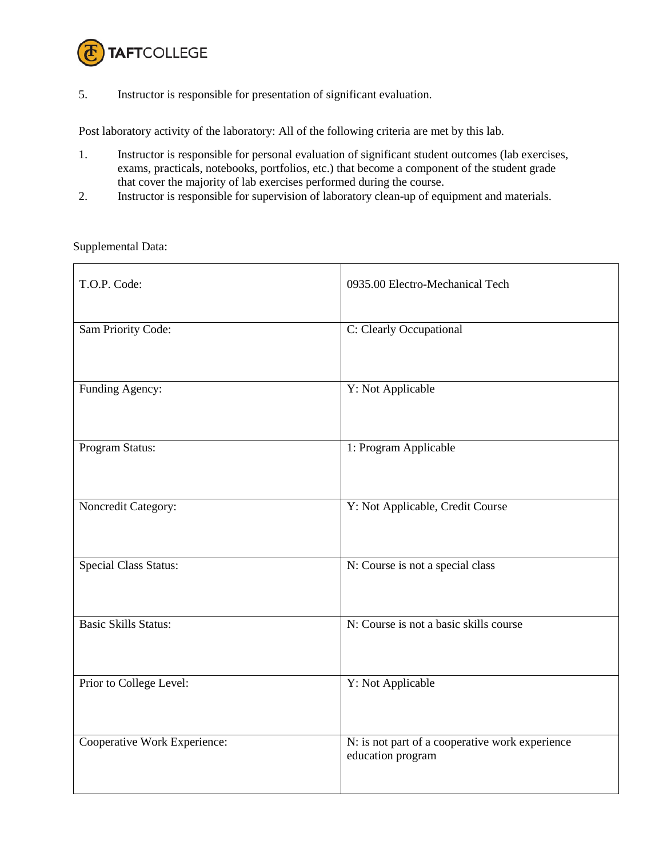

5. Instructor is responsible for presentation of significant evaluation.

Post laboratory activity of the laboratory: All of the following criteria are met by this lab.

- 1. Instructor is responsible for personal evaluation of significant student outcomes (lab exercises, exams, practicals, notebooks, portfolios, etc.) that become a component of the student grade that cover the majority of lab exercises performed during the course.
- 2. Instructor is responsible for supervision of laboratory clean-up of equipment and materials.

#### Supplemental Data:

| T.O.P. Code:                 | 0935.00 Electro-Mechanical Tech                                      |
|------------------------------|----------------------------------------------------------------------|
| Sam Priority Code:           | C: Clearly Occupational                                              |
| Funding Agency:              | Y: Not Applicable                                                    |
| Program Status:              | 1: Program Applicable                                                |
| Noncredit Category:          | Y: Not Applicable, Credit Course                                     |
| <b>Special Class Status:</b> | N: Course is not a special class                                     |
| <b>Basic Skills Status:</b>  | N: Course is not a basic skills course                               |
| Prior to College Level:      | Y: Not Applicable                                                    |
| Cooperative Work Experience: | N: is not part of a cooperative work experience<br>education program |